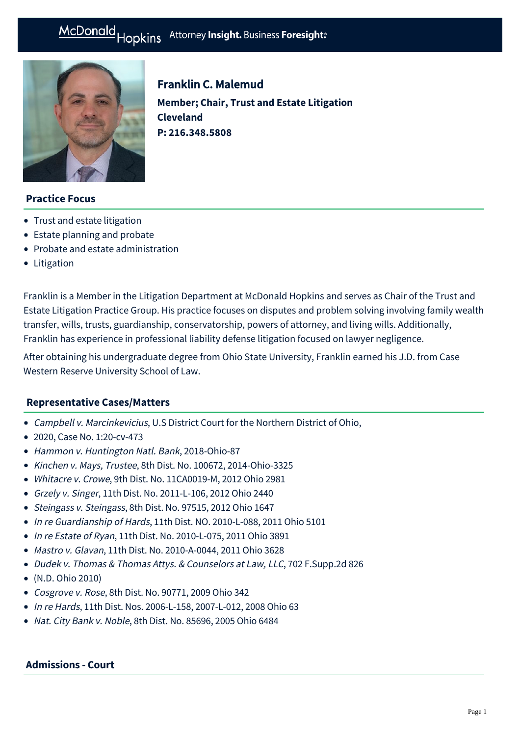

Franklin C. Malemud **Member; Chair, Trust and Estate Litigation Cleveland P: [216.348.5808](tel:216.348.5808)**

# **Practice Focus**

- [Trust and estate litigation](https://mcdonaldhopkins.com/Expertise/Estate-planning-and-probate/Trust-and-estate-litigation)
- [Estate planning and probate](https://mcdonaldhopkins.com/Expertise/Estate-planning-and-probate)
- [Probate and estate administration](https://mcdonaldhopkins.com/Expertise/Estate-planning-and-probate/Probate-and-estate-administration)
- [Litigation](https://mcdonaldhopkins.com/Expertise/Business-counseling/Business-Restart-Task-Force/Litigation)

Franklin is a Member in the Litigation Department at McDonald Hopkins and serves as Chair of the Trust and Estate Litigation Practice Group. His practice focuses on disputes and problem solving involving family wealth transfer, wills, trusts, guardianship, conservatorship, powers of attorney, and living wills. Additionally, Franklin has experience in professional liability defense litigation focused on lawyer negligence.

After obtaining his undergraduate degree from Ohio State University, Franklin earned his J.D. from Case Western Reserve University School of Law.

## **[Representative Cases/Matters](#page-0-0)**

- <span id="page-0-0"></span>Campbell v. Marcinkevicius, U.S District Court for the Northern District of Ohio,
- 2020, Case No. 1:20-cv-473
- Hammon v. Huntington Natl. Bank, 2018-Ohio-87
- Kinchen v. Mays, Trustee, 8th Dist. No. 100672, 2014-Ohio-3325
- Whitacre v. Crowe, 9th Dist. No. 11CA0019-M, 2012 Ohio 2981
- Grzely v. Singer, 11th Dist. No. 2011-L-106, 2012 Ohio 2440
- Steingass v. Steingass, 8th Dist. No. 97515, 2012 Ohio 1647
- In re Guardianship of Hards, 11th Dist, NO. 2010-L-088, 2011 Ohio 5101
- In re Estate of Ryan, 11th Dist. No. 2010-L-075, 2011 Ohio 3891
- Mastro v. Glavan, 11th Dist. No. 2010-A-0044, 2011 Ohio 3628
- Dudek v. Thomas & Thomas Attys. & Counselors at Law, LLC, 702 F.Supp.2d 826
- (N.D. Ohio 2010)
- Cosgrove v. Rose, 8th Dist. No. 90771, 2009 Ohio 342
- In re Hards, 11th Dist. Nos. 2006-L-158, 2007-L-012, 2008 Ohio 63
- Nat. City Bank v. Noble, 8th Dist. No. 85696, 2005 Ohio 6484

#### **Admissions - Court**